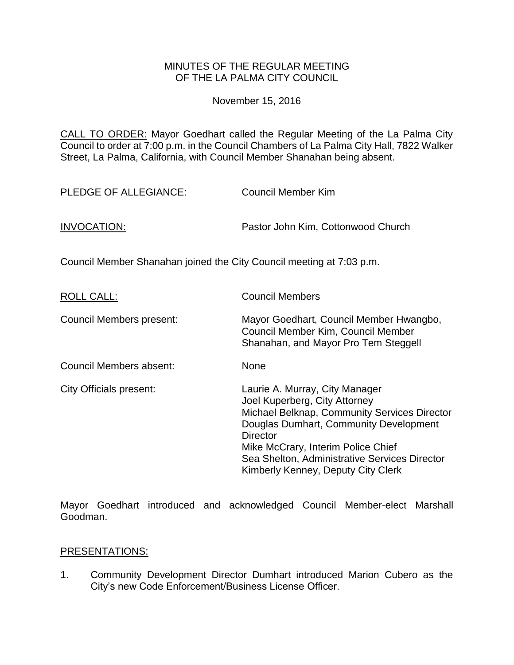### MINUTES OF THE REGULAR MEETING OF THE LA PALMA CITY COUNCIL

November 15, 2016

CALL TO ORDER: [Mayor Goedhart called the Regular Meeting of the La Palma City](http://lapalma.granicus.com/MediaPlayer.php?view_id=&clip_id=1041&meta_id=137168)  [Council to order at 7:00 p.m. in the Council Chambers of La Palma City Hall, 7822 Walker](http://lapalma.granicus.com/MediaPlayer.php?view_id=&clip_id=1041&meta_id=137168)  [Street, La Palma, California, with Council Member Shanahan being absent.](http://lapalma.granicus.com/MediaPlayer.php?view_id=&clip_id=1041&meta_id=137168)

| PLEDGE OF ALLEGIANCE:                                                | <b>Council Member Kim</b>                                                                                             |
|----------------------------------------------------------------------|-----------------------------------------------------------------------------------------------------------------------|
| <b>INVOCATION:</b>                                                   | Pastor John Kim, Cottonwood Church                                                                                    |
| Council Member Shanahan joined the City Council meeting at 7:03 p.m. |                                                                                                                       |
| <b>ROLL CALL:</b>                                                    | <b>Council Members</b>                                                                                                |
| Council Members present:                                             | Mayor Goedhart, Council Member Hwangbo,<br>Council Member Kim, Council Member<br>Shanahan, and Mayor Pro Tem Steggell |
| Council Members absent:                                              | <b>None</b>                                                                                                           |

| City Officials present: | Laurie A. Murray, City Manager                                                      |
|-------------------------|-------------------------------------------------------------------------------------|
|                         | Joel Kuperberg, City Attorney                                                       |
|                         | Michael Belknap, Community Services Director                                        |
|                         | Douglas Dumhart, Community Development                                              |
|                         | <b>Director</b>                                                                     |
|                         | Mike McCrary, Interim Police Chief                                                  |
|                         | Sea Shelton, Administrative Services Director<br>Kimberly Kenney, Deputy City Clerk |
|                         |                                                                                     |

Mayor Goedhart introduced and acknowledged Council Member-elect Marshall Goodman.

### [PRESENTATIONS:](http://lapalma.granicus.com/MediaPlayer.php?view_id=&clip_id=1041&meta_id=137174)

1. [Community Development Director Dumhart introduced Marion Cubero as the](http://lapalma.granicus.com/MediaPlayer.php?view_id=&clip_id=1041&meta_id=137175)  [City's new Code Enforcement/Business License Officer.](http://lapalma.granicus.com/MediaPlayer.php?view_id=&clip_id=1041&meta_id=137175)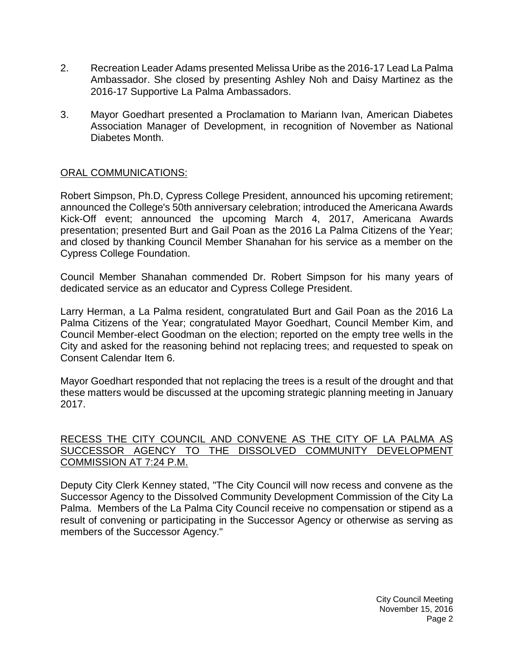- 2. Recreation [Leader Adams presented Melissa Uribe as the 2016-17 Lead La Palma](http://lapalma.granicus.com/MediaPlayer.php?view_id=&clip_id=1041&meta_id=137176)  Ambassador. She closed by presenting [Ashley Noh and Daisy Martinez as the](http://lapalma.granicus.com/MediaPlayer.php?view_id=&clip_id=1041&meta_id=137176)  2016-17 [Supportive La Palma](http://lapalma.granicus.com/MediaPlayer.php?view_id=&clip_id=1041&meta_id=137176) Ambassadors.
- 3. [Mayor Goedhart presented a Proclamation to Mariann Ivan, American Diabetes](http://lapalma.granicus.com/MediaPlayer.php?view_id=&clip_id=1041&meta_id=137178)  [Association Manager of Development, in recognition of November as National](http://lapalma.granicus.com/MediaPlayer.php?view_id=&clip_id=1041&meta_id=137178)  [Diabetes Month.](http://lapalma.granicus.com/MediaPlayer.php?view_id=&clip_id=1041&meta_id=137178)

# [ORAL COMMUNICATIONS:](http://lapalma.granicus.com/MediaPlayer.php?view_id=&clip_id=1041&meta_id=137181)

Robert Simpson, Ph.D, Cypress College President, announced his upcoming retirement; announced the College's 50th anniversary celebration; introduced the Americana Awards Kick-Off event; announced the upcoming March 4, 2017, Americana Awards presentation; presented Burt and Gail Poan as the 2016 La Palma Citizens of the Year; and closed by thanking Council Member Shanahan for his service as a member on the Cypress College Foundation.

Council Member Shanahan commended Dr. Robert Simpson for his many years of dedicated service as an educator and Cypress College President.

Larry Herman, a La Palma resident, congratulated Burt and Gail Poan as the 2016 La Palma Citizens of the Year; congratulated Mayor Goedhart, Council Member Kim, and Council Member-elect Goodman on the election; reported on the empty tree wells in the City and asked for the reasoning behind not replacing trees; and requested to speak on Consent Calendar Item 6.

Mayor Goedhart responded that not replacing the trees is a result of the drought and that these matters would be discussed at the upcoming strategic planning meeting in January 2017.

### RECESS THE [CITY COUNCIL AND CONVENE AS THE CITY OF LA PALMA AS](http://lapalma.granicus.com/MediaPlayer.php?view_id=&clip_id=1041&meta_id=137186)  [SUCCESSOR AGENCY TO THE DISSOLVED COMMUNITY DEVELOPMENT](http://lapalma.granicus.com/MediaPlayer.php?view_id=&clip_id=1041&meta_id=137186)  [COMMISSION AT 7:24 P.M.](http://lapalma.granicus.com/MediaPlayer.php?view_id=&clip_id=1041&meta_id=137186)

Deputy City Clerk Kenney [stated, "The City Council will now recess and convene as the](http://lapalma.granicus.com/MediaPlayer.php?view_id=&clip_id=1041&meta_id=137187)  [Successor Agency to the Dissolved Community Development Commission of the City La](http://lapalma.granicus.com/MediaPlayer.php?view_id=&clip_id=1041&meta_id=137187)  Palma. [Members of the La Palma City Council receive no compensation or stipend as a](http://lapalma.granicus.com/MediaPlayer.php?view_id=&clip_id=1041&meta_id=137187)  [result of convening or participating in the Successor Agency or otherwise as serving as](http://lapalma.granicus.com/MediaPlayer.php?view_id=&clip_id=1041&meta_id=137187)  [members of the Successor Agency."](http://lapalma.granicus.com/MediaPlayer.php?view_id=&clip_id=1041&meta_id=137187)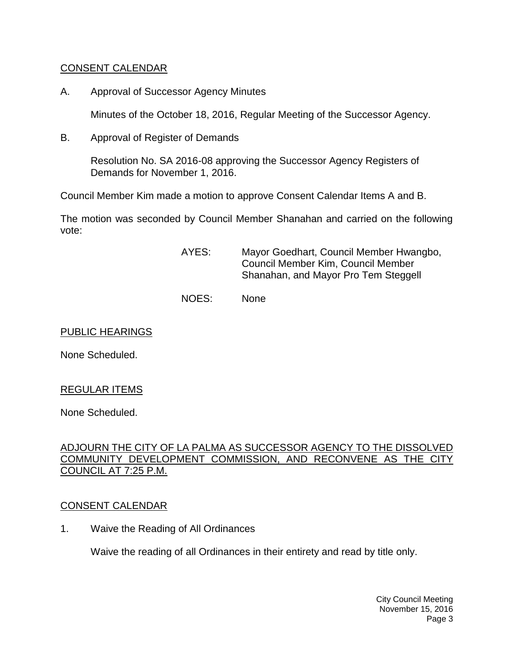## [CONSENT CALENDAR](http://lapalma.granicus.com/MediaPlayer.php?view_id=&clip_id=1041&meta_id=137188)

A. Approval of Successor Agency Minutes

Minutes of the October 18, 2016, Regular Meeting of the Successor Agency.

B. Approval of Register of Demands

Resolution No. SA 2016-08 approving the Successor Agency Registers of Demands for November 1, 2016.

Council Member Kim made a motion to approve Consent Calendar Items A and B.

The motion was seconded by Council Member Shanahan and carried on the following vote:

- AYES: Mayor Goedhart, Council Member Hwangbo, Council Member Kim, Council Member Shanahan, and Mayor Pro Tem Steggell
- NOES: None

#### PUBLIC HEARINGS

None Scheduled.

### REGULAR ITEMS

None Scheduled.

### [ADJOURN THE CITY OF LA PALMA AS SUCCESSOR AGENCY TO THE DISSOLVED](http://lapalma.granicus.com/MediaPlayer.php?view_id=&clip_id=1041&meta_id=137197)  [COMMUNITY DEVELOPMENT COMMISSION, AND RECONVENE AS THE CITY](http://lapalma.granicus.com/MediaPlayer.php?view_id=&clip_id=1041&meta_id=137197)  [COUNCIL AT 7:25 P.M.](http://lapalma.granicus.com/MediaPlayer.php?view_id=&clip_id=1041&meta_id=137197)

### [CONSENT CALENDAR](http://lapalma.granicus.com/MediaPlayer.php?view_id=&clip_id=1041&meta_id=137198)

1. Waive the Reading of All Ordinances

Waive the reading of all Ordinances in their entirety and read by title only.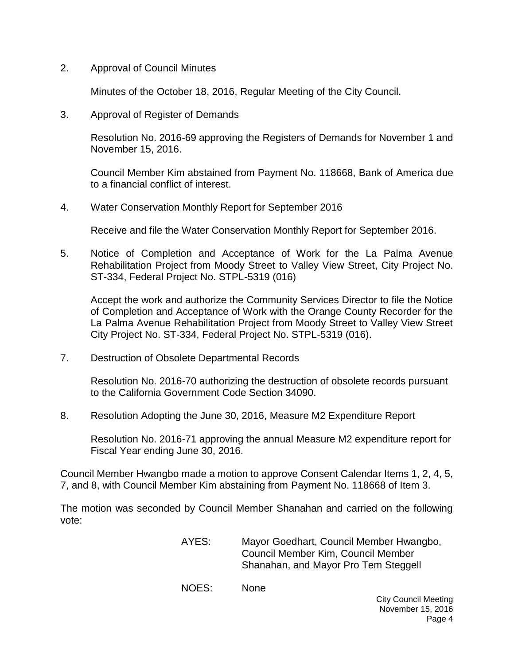2. Approval of Council Minutes

Minutes of the October 18, 2016, Regular Meeting of the City Council.

3. [Approval of Register of Demands](http://lapalma.granicus.com/MediaPlayer.php?view_id=&clip_id=1041&meta_id=137203)

Resolution No. 2016-69 approving the Registers of Demands for November 1 and November 15, 2016.

Council Member Kim abstained from Payment No. 118668, Bank of America due to a financial conflict of interest.

4. Water Conservation Monthly Report for September 2016

Receive and file the Water Conservation Monthly Report for September 2016.

5. Notice of Completion and Acceptance of Work for the La Palma Avenue Rehabilitation Project from Moody Street to Valley View Street, City Project No. ST-334, Federal Project No. STPL-5319 (016)

Accept the work and authorize the Community Services Director to file the Notice of Completion and Acceptance of Work with the Orange County Recorder for the La Palma Avenue Rehabilitation Project from Moody Street to Valley View Street City Project No. ST-334, Federal Project No. STPL-5319 (016).

7. Destruction of Obsolete Departmental Records

Resolution No. 2016-70 authorizing the destruction of obsolete records pursuant to the California Government Code Section 34090.

8. Resolution Adopting the June 30, 2016, Measure M2 Expenditure Report

Resolution No. 2016-71 approving the annual Measure M2 expenditure report for Fiscal Year ending June 30, 2016.

Council Member Hwangbo made a motion to approve Consent Calendar Items 1, 2, 4, 5, 7, and 8, with Council Member Kim abstaining from Payment No. 118668 of Item 3.

The motion was seconded by Council Member Shanahan and carried on the following vote:

> AYES: Mayor Goedhart, Council Member Hwangbo, Council Member Kim, Council Member Shanahan, and Mayor Pro Tem Steggell

NOES: None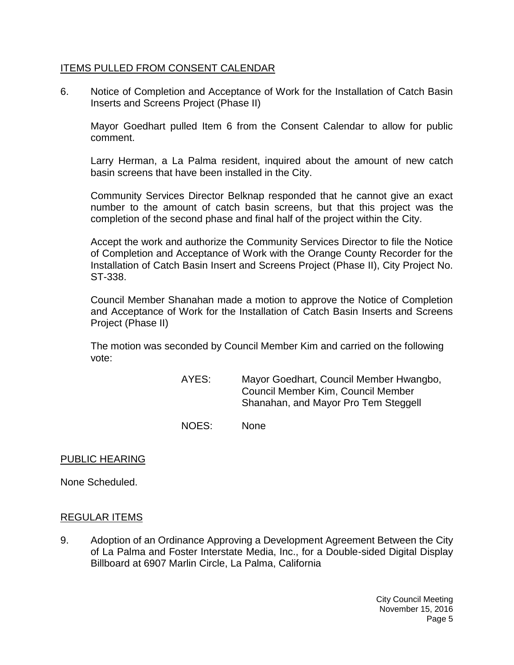### ITEMS PULLED FROM CONSENT CALENDAR

6. [Notice of Completion and Acceptance of Work for the Installation of Catch Basin](http://lapalma.granicus.com/MediaPlayer.php?view_id=&clip_id=1041&meta_id=137209)  [Inserts and Screens Project \(Phase II\)](http://lapalma.granicus.com/MediaPlayer.php?view_id=&clip_id=1041&meta_id=137209)

Mayor Goedhart pulled Item 6 from the Consent Calendar to allow for public comment.

Larry Herman, a La Palma resident, inquired about the amount of new catch basin screens that have been installed in the City.

Community Services Director Belknap responded that he cannot give an exact number to the amount of catch basin screens, but that this project was the completion of the second phase and final half of the project within the City.

Accept the work and authorize the Community Services Director to file the Notice of Completion and Acceptance of Work with the Orange County Recorder for the Installation of Catch Basin Insert and Screens Project (Phase II), City Project No. ST-338.

Council Member Shanahan made a motion to approve the Notice of Completion and Acceptance of Work for the Installation of Catch Basin Inserts and Screens Project (Phase II)

The motion was seconded by Council Member Kim and carried on the following vote:

> AYES: Mayor Goedhart, Council Member Hwangbo, Council Member Kim, Council Member Shanahan, and Mayor Pro Tem Steggell

NOES: None

### PUBLIC HEARING

None Scheduled.

### [REGULAR ITEMS](http://lapalma.granicus.com/MediaPlayer.php?view_id=&clip_id=1041&meta_id=137218)

9. [Adoption of an Ordinance Approving a Development Agreement Between the City](http://lapalma.granicus.com/MediaPlayer.php?view_id=&clip_id=1041&meta_id=137219)  [of La Palma and Foster Interstate Media, Inc., for a Double-sided Digital Display](http://lapalma.granicus.com/MediaPlayer.php?view_id=&clip_id=1041&meta_id=137219)  [Billboard at 6907 Marlin Circle, La Palma, California](http://lapalma.granicus.com/MediaPlayer.php?view_id=&clip_id=1041&meta_id=137219)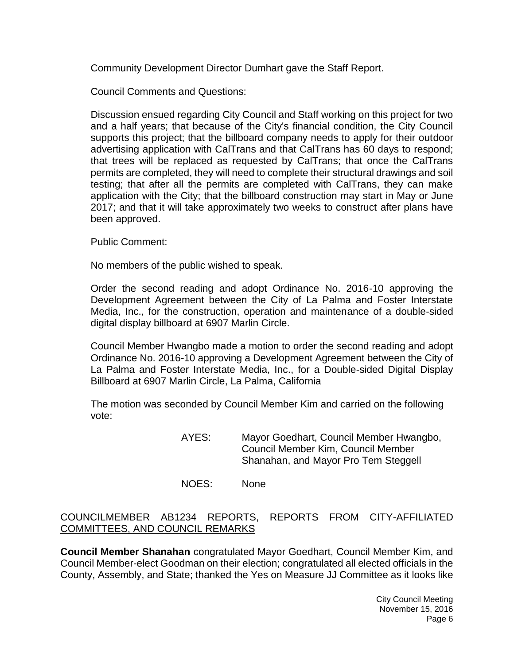Community Development Director Dumhart gave the Staff Report.

Council Comments and Questions:

Discussion ensued regarding City Council and Staff working on this project for two and a half years; that because of the City's financial condition, the City Council supports this project; that the billboard company needs to apply for their outdoor advertising application with CalTrans and that CalTrans has 60 days to respond; that trees will be replaced as requested by CalTrans; that once the CalTrans permits are completed, they will need to complete their structural drawings and soil testing; that after all the permits are completed with CalTrans, they can make application with the City; that the billboard construction may start in May or June 2017; and that it will take approximately two weeks to construct after plans have been approved.

Public Comment:

No members of the public wished to speak.

Order the second reading and adopt Ordinance No. 2016-10 approving the Development Agreement between the City of La Palma and Foster Interstate Media, Inc., for the construction, operation and maintenance of a double-sided digital display billboard at 6907 Marlin Circle.

Council Member Hwangbo made a motion to order the second reading and adopt Ordinance No. 2016-10 approving a Development Agreement between the City of La Palma and Foster Interstate Media, Inc., for a Double-sided Digital Display Billboard at 6907 Marlin Circle, La Palma, California

The motion was seconded by Council Member Kim and carried on the following vote:

> AYES: Mayor Goedhart, Council Member Hwangbo, Council Member Kim, Council Member Shanahan, and Mayor Pro Tem Steggell

NOES: None

### [COUNCILMEMBER AB1234 REPORTS, REPORTS FROM CITY-AFFILIATED](http://lapalma.granicus.com/MediaPlayer.php?view_id=&clip_id=1041&meta_id=137225)  [COMMITTEES, AND COUNCIL REMARKS](http://lapalma.granicus.com/MediaPlayer.php?view_id=&clip_id=1041&meta_id=137225)

**Council Member Shanahan** congratulated Mayor Goedhart, Council Member Kim, and Council Member-elect Goodman on their election; congratulated all elected officials in the County, Assembly, and State; thanked the Yes on Measure JJ Committee as it looks like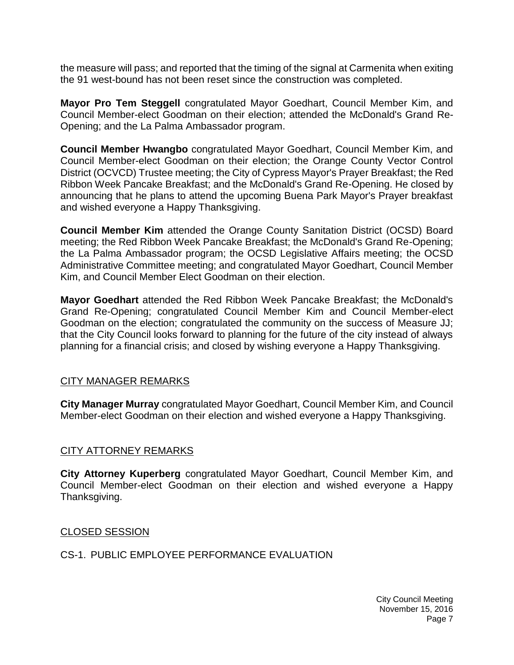the measure will pass; and reported that the timing of the signal at Carmenita when exiting the 91 west-bound has not been reset since the construction was completed.

**Mayor Pro Tem Steggell** congratulated Mayor Goedhart, Council Member Kim, and Council Member-elect Goodman on their election; attended the McDonald's Grand Re-Opening; and the La Palma Ambassador program.

**Council Member Hwangbo** congratulated Mayor Goedhart, Council Member Kim, and Council Member-elect Goodman on their election; the Orange County Vector Control District (OCVCD) Trustee meeting; the City of Cypress Mayor's Prayer Breakfast; the Red Ribbon Week Pancake Breakfast; and the McDonald's Grand Re-Opening. He closed by announcing that he plans to attend the upcoming Buena Park Mayor's Prayer breakfast and wished everyone a Happy Thanksgiving.

**Council Member Kim** attended the Orange County Sanitation District (OCSD) Board meeting; the Red Ribbon Week Pancake Breakfast; the McDonald's Grand Re-Opening; the La Palma Ambassador program; the OCSD Legislative Affairs meeting; the OCSD Administrative Committee meeting; and congratulated Mayor Goedhart, Council Member Kim, and Council Member Elect Goodman on their election.

**Mayor Goedhart** attended the Red Ribbon Week Pancake Breakfast; the McDonald's Grand Re-Opening; congratulated Council Member Kim and Council Member-elect Goodman on the election; congratulated the community on the success of Measure JJ; that the City Council looks forward to planning for the future of the city instead of always planning for a financial crisis; and closed by wishing everyone a Happy Thanksgiving.

### [CITY MANAGER REMARKS](http://lapalma.granicus.com/MediaPlayer.php?view_id=&clip_id=1041&meta_id=137231)

**City Manager Murray** congratulated Mayor Goedhart, Council Member Kim, and Council Member-elect Goodman on their election and wished everyone a Happy Thanksgiving.

### [CITY ATTORNEY REMARKS](http://lapalma.granicus.com/MediaPlayer.php?view_id=&clip_id=1041&meta_id=137233)

**City Attorney Kuperberg** congratulated Mayor Goedhart, Council Member Kim, and Council Member-elect Goodman on their election and wished everyone a Happy Thanksgiving.

#### [CLOSED SESSION](http://lapalma.granicus.com/MediaPlayer.php?view_id=&clip_id=1041&meta_id=137235)

#### CS-1. [PUBLIC EMPLOYEE PERFORMANCE EVALUATION](http://lapalma.granicus.com/MediaPlayer.php?view_id=&clip_id=1041&meta_id=137236)